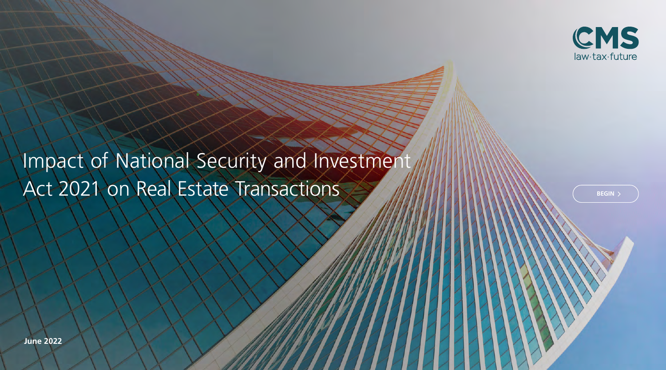

# Impact of National Security and Investment Act 2021 on Real Estate Transactions

**BEGIN**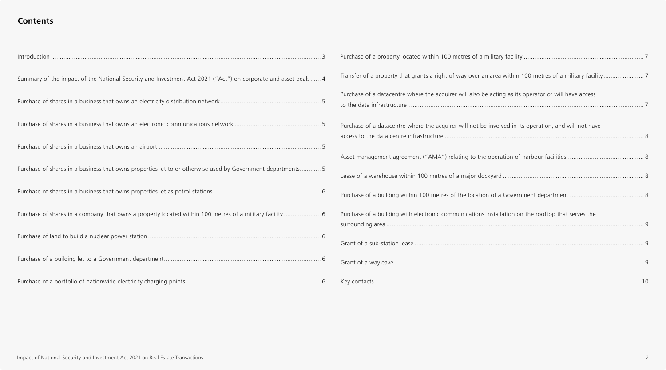### **Contents**

| Summary of the impact of the National Security and Investment Act 2021 ("Act") on corporate and asset deals 4 | Transfer of a property that grants a right of way over an area within 100 metres of a military facility7 |
|---------------------------------------------------------------------------------------------------------------|----------------------------------------------------------------------------------------------------------|
|                                                                                                               | Purchase of a datacentre where the acquirer will also be acting as its operator or will have access      |
|                                                                                                               | Purchase of a datacentre where the acquirer will not be involved in its operation, and will not have     |
|                                                                                                               |                                                                                                          |
| Purchase of shares in a business that owns properties let to or otherwise used by Government departments 5    |                                                                                                          |
|                                                                                                               |                                                                                                          |
| Purchase of shares in a company that owns a property located within 100 metres of a military facility  6      | Purchase of a building with electronic communications installation on the rooftop that serves the        |
|                                                                                                               |                                                                                                          |
|                                                                                                               |                                                                                                          |
|                                                                                                               |                                                                                                          |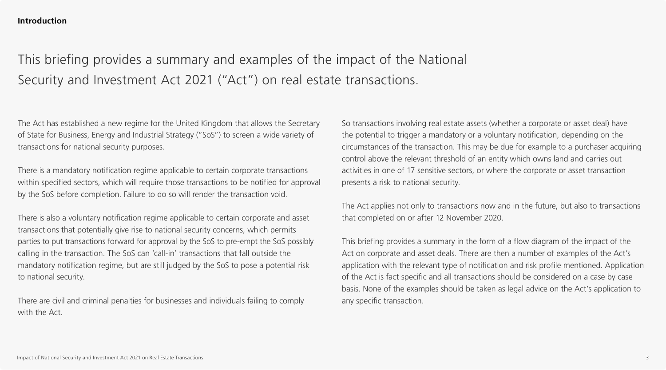# This briefing provides a summary and examples of the impact of the National Security and Investment Act 2021 ("Act") on real estate transactions.

The Act has established a new regime for the United Kingdom that allows the Secretary of State for Business, Energy and Industrial Strategy ("SoS") to screen a wide variety of transactions for national security purposes.

There is a mandatory notification regime applicable to certain corporate transactions within specified sectors, which will require those transactions to be notified for approval by the SoS before completion. Failure to do so will render the transaction void.

There is also a voluntary notification regime applicable to certain corporate and asset transactions that potentially give rise to national security concerns, which permits parties to put transactions forward for approval by the SoS to pre-empt the SoS possibly calling in the transaction. The SoS can 'call-in' transactions that fall outside the mandatory notification regime, but are still judged by the SoS to pose a potential risk to national security.

There are civil and criminal penalties for businesses and individuals failing to comply with the Act.

So transactions involving real estate assets (whether a corporate or asset deal) have the potential to trigger a mandatory or a voluntary notification, depending on the circumstances of the transaction. This may be due for example to a purchaser acquiring control above the relevant threshold of an entity which owns land and carries out activities in one of 17 sensitive sectors, or where the corporate or asset transaction presents a risk to national security.

The Act applies not only to transactions now and in the future, but also to transactions that completed on or after 12 November 2020.

This briefing provides a summary in the form of a flow diagram of the impact of the Act on corporate and asset deals. There are then a number of examples of the Act's application with the relevant type of notification and risk profile mentioned. Application of the Act is fact specific and all transactions should be considered on a case by case basis. None of the examples should be taken as legal advice on the Act's application to any specific transaction.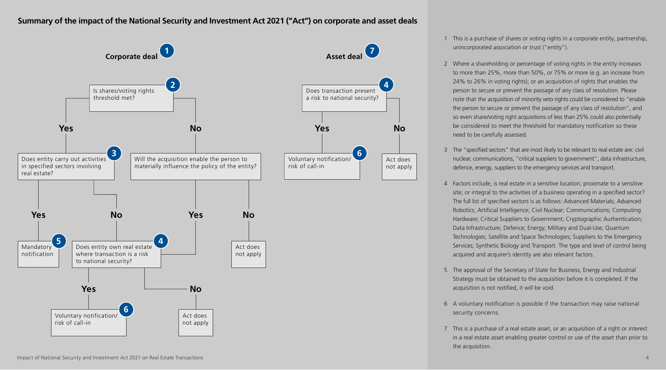#### <span id="page-3-0"></span>**Summary of the impact of the National Security and Investment Act 2021 ("Act") on corporate and asset deals**



1 This is a purchase of shares or voting rights in a corporate entity, partnership, unincorporated association or trust ("entity").

- 2 Where a shareholding or percentage of voting rights in the entity increases 2 Where a shareholding or percentage of voting rights in the entity increases to more than 25%, more than 50%, or 75% or more (e.g. an increase from to more than 25%, more than 50%, or 75% or more (e.g. an increase from 24% to 26% in voting rights); or an acquisition of rights that enables the 24% to 26% in voting rights); or an acquisition of rights that enables the person to secure or prevent the passage of any class of resolution. Please person to secure or prevent the passage of any class of resolution. Please note that the acquisition of minority veto rights could be considered to "enable note that the acquisition of minority veto rights could be considered to "enable the person to secure or prevent the passage of any class of resolution", and the person to secure or prevent the passage of any class of resolution", and so even share/voting right acquisitions of less than 25% could also potentially so even share/voting right acquisitions of less than 25% could also potentially be considered to meet the threshold for mandatory notification so these be considered to meet the threshold for mandatory notification so these need to be carefully assessed. need to be carefully assessed.
- 3 The "specified sectors" that are most likely to be relevant to real estate are: civil nuclear, communications, "critical suppliers to government", data infrastructure, defence, energy, suppliers to the emergency services and transport.
- 4 Factors include, is real estate in a sensitive location; proximate to a sensitive site; or integral to the activities of a business operating in a specified sector? The full list of specified sectors is as follows: Advanced Materials; Advanced Robotics; Artificial Intelligence; Civil Nuclear; Communications; Computing Hardware; Critical Suppliers to Government; Cryptographic Authentication; Data Infrastructure; Defence; Energy; Military and Dual-Use; Quantum Technologies; Satellite and Space Technologies; Suppliers to the Emergency Services; Synthetic Biology and Transport. The type and level of control being acquired and acquirer's identity are also relevant factors.
- 5 The approval of the Secretary of State for Business, Energy and Industrial Strategy must be obtained to the acquisition before it is completed. If the acquisition is not notified, it will be void.
- 6 A voluntary notification is possible if the transaction may raise national security concerns.
- 7 This is a purchase of a real estate asset, or an acquisition of a right or interest in a real estate asset enabling greater control or use of the asset than prior to the acquisition.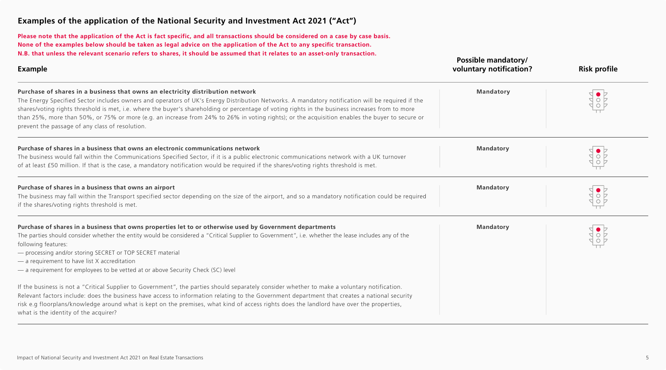<span id="page-4-0"></span>**Please note that the application of the Act is fact specific, and all transactions should be considered on a case by case basis. None of the examples below should be taken as legal advice on the application of the Act to any specific transaction. N.B. that unless the relevant scenario refers to shares, it should be assumed that it relates to an asset-only transaction.**

| <b>Example</b>                                                                                                                                                                                                                                                                                                                                                                                                                                                                                                                                                                              | Possible mandatory/<br>voluntary notification? | <b>Risk profile</b> |
|---------------------------------------------------------------------------------------------------------------------------------------------------------------------------------------------------------------------------------------------------------------------------------------------------------------------------------------------------------------------------------------------------------------------------------------------------------------------------------------------------------------------------------------------------------------------------------------------|------------------------------------------------|---------------------|
| Purchase of shares in a business that owns an electricity distribution network<br>The Energy Specified Sector includes owners and operators of UK's Energy Distribution Networks. A mandatory notification will be required if the<br>shares/voting rights threshold is met, i.e. where the buyer's shareholding or percentage of voting rights in the business increases from to more<br>than 25%, more than 50%, or 75% or more (e.g. an increase from 24% to 26% in voting rights); or the acquisition enables the buyer to secure or<br>prevent the passage of any class of resolution. | <b>Mandatory</b>                               |                     |
| Purchase of shares in a business that owns an electronic communications network<br>The business would fall within the Communications Specified Sector, if it is a public electronic communications network with a UK turnover<br>of at least £50 million. If that is the case, a mandatory notification would be required if the shares/voting rights threshold is met.                                                                                                                                                                                                                     | <b>Mandatory</b>                               |                     |
| Purchase of shares in a business that owns an airport<br>The business may fall within the Transport specified sector depending on the size of the airport, and so a mandatory notification could be required<br>if the shares/voting rights threshold is met.                                                                                                                                                                                                                                                                                                                               | <b>Mandatory</b>                               |                     |
| Purchase of shares in a business that owns properties let to or otherwise used by Government departments<br>The parties should consider whether the entity would be considered a "Critical Supplier to Government", i.e. whether the lease includes any of the<br>following features:<br>- processing and/or storing SECRET or TOP SECRET material<br>- a requirement to have list X accreditation<br>- a requirement for employees to be vetted at or above Security Check (SC) level                                                                                                      | <b>Mandatory</b>                               |                     |
| If the business is not a "Critical Supplier to Government", the parties should separately consider whether to make a voluntary notification.<br>Relevant factors include: does the business have access to information relating to the Government department that creates a national security<br>risk e.g floorplans/knowledge around what is kept on the premises, what kind of access rights does the landlord have over the properties,<br>what is the identity of the acquirer?                                                                                                         |                                                |                     |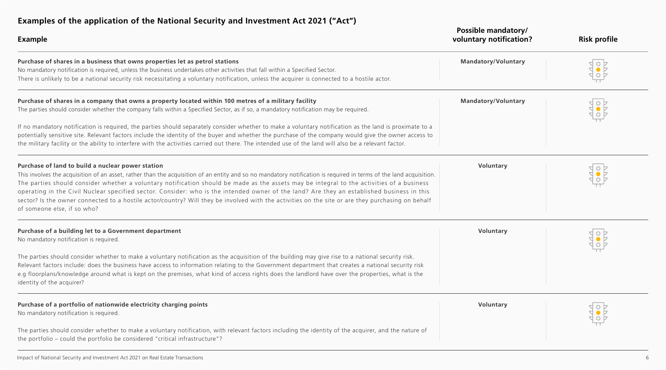<span id="page-5-0"></span>

| Examples of the application of the national security and investment Act 2021 (Act )<br><b>Example</b>                                                                                                                                                                                                                                                                                                                                                                                                                                                                                                                                                                                                                      | Possible mandatory/<br>voluntary notification? | <b>Risk profile</b> |
|----------------------------------------------------------------------------------------------------------------------------------------------------------------------------------------------------------------------------------------------------------------------------------------------------------------------------------------------------------------------------------------------------------------------------------------------------------------------------------------------------------------------------------------------------------------------------------------------------------------------------------------------------------------------------------------------------------------------------|------------------------------------------------|---------------------|
| Purchase of shares in a business that owns properties let as petrol stations<br>No mandatory notification is required, unless the business undertakes other activities that fall within a Specified Sector.<br>There is unlikely to be a national security risk necessitating a voluntary notification, unless the acquirer is connected to a hostile actor.                                                                                                                                                                                                                                                                                                                                                               | <b>Mandatory/Voluntary</b>                     |                     |
| Purchase of shares in a company that owns a property located within 100 metres of a military facility<br>The parties should consider whether the company falls within a Specified Sector, as if so, a mandatory notification may be required.<br>If no mandatory notification is required, the parties should separately consider whether to make a voluntary notification as the land is proximate to a<br>potentially sensitive site. Relevant factors include the identity of the buyer and whether the purchase of the company would give the owner access to<br>the military facility or the ability to interfere with the activities carried out there. The intended use of the land will also be a relevant factor. | <b>Mandatory/Voluntary</b>                     |                     |
| Purchase of land to build a nuclear power station<br>This involves the acquisition of an asset, rather than the acquisition of an entity and so no mandatory notification is required in terms of the land acquisition.<br>The parties should consider whether a voluntary notification should be made as the assets may be integral to the activities of a business<br>operating in the Civil Nuclear specified sector. Consider: who is the intended owner of the land? Are they an established business in this<br>sector? Is the owner connected to a hostile actor/country? Will they be involved with the activities on the site or are they purchasing on behalf<br>of someone else, if so who?                     | Voluntary                                      |                     |
| Purchase of a building let to a Government department<br>No mandatory notification is required.<br>The parties should consider whether to make a voluntary notification as the acquisition of the building may give rise to a national security risk.<br>Relevant factors include: does the business have access to information relating to the Government department that creates a national security risk<br>e.g floorplans/knowledge around what is kept on the premises, what kind of access rights does the landlord have over the properties, what is the<br>identity of the acquirer?                                                                                                                               | Voluntary                                      |                     |
| Purchase of a portfolio of nationwide electricity charging points<br>No mandatory notification is required.<br>The parties should consider whether to make a voluntary notification, with relevant factors including the identity of the acquirer, and the nature of<br>the portfolio - could the portfolio be considered "critical infrastructure"?                                                                                                                                                                                                                                                                                                                                                                       | Voluntary                                      |                     |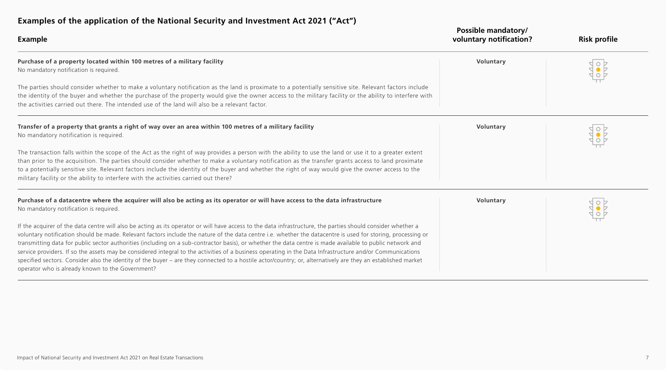<span id="page-6-0"></span>

| <b>Example</b>                                                                                                                                                                                                                                                                                                                                                                                                                                                                                                                                                                                                                                                                                                                                                                                                                                                             | <b>Possible mandatory/</b><br>voluntary notification? | <b>Risk profile</b> |
|----------------------------------------------------------------------------------------------------------------------------------------------------------------------------------------------------------------------------------------------------------------------------------------------------------------------------------------------------------------------------------------------------------------------------------------------------------------------------------------------------------------------------------------------------------------------------------------------------------------------------------------------------------------------------------------------------------------------------------------------------------------------------------------------------------------------------------------------------------------------------|-------------------------------------------------------|---------------------|
| Purchase of a property located within 100 metres of a military facility<br>No mandatory notification is required.                                                                                                                                                                                                                                                                                                                                                                                                                                                                                                                                                                                                                                                                                                                                                          | Voluntary                                             |                     |
| The parties should consider whether to make a voluntary notification as the land is proximate to a potentially sensitive site. Relevant factors include<br>the identity of the buyer and whether the purchase of the property would give the owner access to the military facility or the ability to interfere with<br>the activities carried out there. The intended use of the land will also be a relevant factor.                                                                                                                                                                                                                                                                                                                                                                                                                                                      |                                                       |                     |
| Transfer of a property that grants a right of way over an area within 100 metres of a military facility<br>No mandatory notification is required.                                                                                                                                                                                                                                                                                                                                                                                                                                                                                                                                                                                                                                                                                                                          | Voluntary                                             |                     |
| The transaction falls within the scope of the Act as the right of way provides a person with the ability to use the land or use it to a greater extent<br>than prior to the acquisition. The parties should consider whether to make a voluntary notification as the transfer grants access to land proximate<br>to a potentially sensitive site. Relevant factors include the identity of the buyer and whether the right of way would give the owner access to the<br>military facility or the ability to interfere with the activities carried out there?                                                                                                                                                                                                                                                                                                               |                                                       |                     |
| Purchase of a datacentre where the acquirer will also be acting as its operator or will have access to the data infrastructure<br>No mandatory notification is required.                                                                                                                                                                                                                                                                                                                                                                                                                                                                                                                                                                                                                                                                                                   | Voluntary                                             |                     |
| If the acquirer of the data centre will also be acting as its operator or will have access to the data infrastructure, the parties should consider whether a<br>voluntary notification should be made. Relevant factors include the nature of the data centre i.e. whether the datacentre is used for storing, processing or<br>transmitting data for public sector authorities (including on a sub-contractor basis), or whether the data centre is made available to public network and<br>service providers. If so the assets may be considered integral to the activities of a business operating in the Data Infrastructure and/or Communications<br>specified sectors. Consider also the identity of the buyer - are they connected to a hostile actor/country; or, alternatively are they an established market<br>operator who is already known to the Government? |                                                       |                     |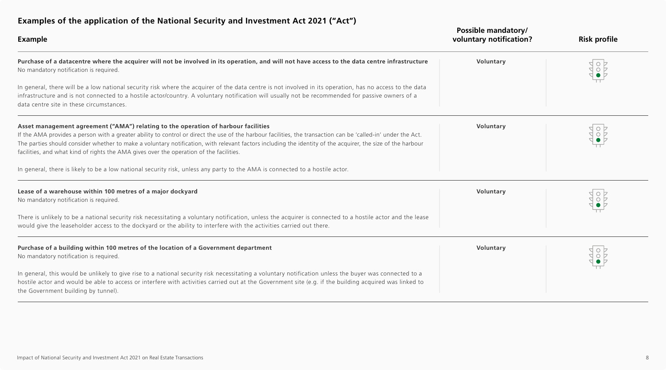<span id="page-7-0"></span>

| <b>Examples of the application of the National Security and investment ACC 2021 (ACC)</b><br><b>Example</b>                                                                                                                                                                                                                                                                                                                                                                                                   | Possible mandatory/<br>voluntary notification? | <b>Risk profile</b> |
|---------------------------------------------------------------------------------------------------------------------------------------------------------------------------------------------------------------------------------------------------------------------------------------------------------------------------------------------------------------------------------------------------------------------------------------------------------------------------------------------------------------|------------------------------------------------|---------------------|
| Purchase of a datacentre where the acquirer will not be involved in its operation, and will not have access to the data centre infrastructure<br>No mandatory notification is required.                                                                                                                                                                                                                                                                                                                       | Voluntary                                      |                     |
| In general, there will be a low national security risk where the acquirer of the data centre is not involved in its operation, has no access to the data<br>infrastructure and is not connected to a hostile actor/country. A voluntary notification will usually not be recommended for passive owners of a<br>data centre site in these circumstances.                                                                                                                                                      |                                                |                     |
| Asset management agreement ("AMA") relating to the operation of harbour facilities<br>If the AMA provides a person with a greater ability to control or direct the use of the harbour facilities, the transaction can be 'called-in' under the Act.<br>The parties should consider whether to make a voluntary notification, with relevant factors including the identity of the acquirer, the size of the harbour<br>facilities, and what kind of rights the AMA gives over the operation of the facilities. | Voluntary                                      |                     |
| In general, there is likely to be a low national security risk, unless any party to the AMA is connected to a hostile actor.                                                                                                                                                                                                                                                                                                                                                                                  |                                                |                     |
| Lease of a warehouse within 100 metres of a major dockyard<br>No mandatory notification is required.                                                                                                                                                                                                                                                                                                                                                                                                          | Voluntary                                      |                     |
| There is unlikely to be a national security risk necessitating a voluntary notification, unless the acquirer is connected to a hostile actor and the lease<br>would give the leaseholder access to the dockyard or the ability to interfere with the activities carried out there.                                                                                                                                                                                                                            |                                                |                     |
| Purchase of a building within 100 metres of the location of a Government department<br>No mandatory notification is required.                                                                                                                                                                                                                                                                                                                                                                                 | Voluntary                                      |                     |
| In general, this would be unlikely to give rise to a national security risk necessitating a voluntary notification unless the buyer was connected to a<br>hostile actor and would be able to access or interfere with activities carried out at the Government site (e.g. if the building acquired was linked to<br>the Government building by tunnel).                                                                                                                                                       |                                                |                     |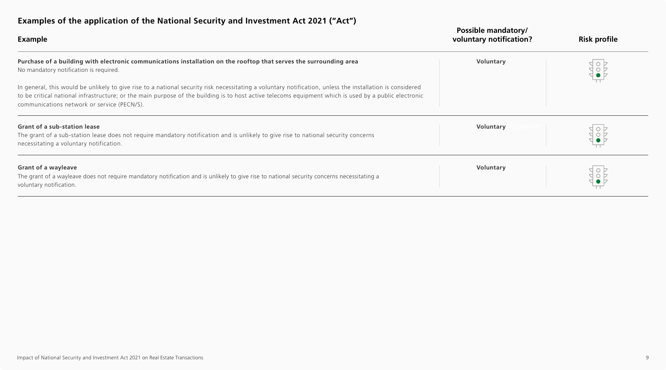<span id="page-8-0"></span>

| <b>Example</b>                                                                                                                                                                                                                                                                                                                                                    | <b>Possible mandatory/</b><br>voluntary notification? | <b>Risk profile</b> |
|-------------------------------------------------------------------------------------------------------------------------------------------------------------------------------------------------------------------------------------------------------------------------------------------------------------------------------------------------------------------|-------------------------------------------------------|---------------------|
| Purchase of a building with electronic communications installation on the rooftop that serves the surrounding area<br>No mandatory notification is required.                                                                                                                                                                                                      | Voluntary                                             |                     |
| In general, this would be unlikely to give rise to a national security risk necessitating a voluntary notification, unless the installation is considered<br>to be critical national infrastructure; or the main purpose of the building is to host active telecoms equipment which is used by a public electronic<br>communications network or service (PECN/S). |                                                       |                     |
| <b>Grant of a sub-station lease</b>                                                                                                                                                                                                                                                                                                                               | Voluntary                                             |                     |
| The grant of a sub-station lease does not require mandatory notification and is unlikely to give rise to national security concerns<br>necessitating a voluntary notification.                                                                                                                                                                                    |                                                       |                     |
| <b>Grant of a wayleave</b><br>The grant of a wayleave does not require mandatory notification and is unlikely to give rise to national security concerns necessitating a<br>voluntary notification.                                                                                                                                                               | Voluntary                                             |                     |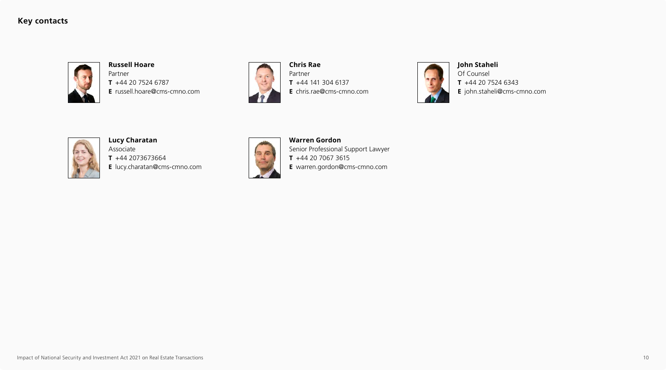#### **Key contacts**



**Russell Hoare** Partner **T** +44 20 7524 6787 **E** russell.hoare@cms-cmno.com



**Chris Rae** Partner **T** +44 141 304 6137 **E** chris.rae@cms-cmno.com



**John Staheli** Of Counsel **T** +44 20 7524 6343 **E** john.staheli@cms-cmno.com



**Lucy Charatan**

Associate **T** +44 2073673664 **E** lucy.charatan@cms-cmno.com



**Warren Gordon** Senior Professional Support Lawyer **T** +44 20 7067 3615 **E** warren.gordon@cms-cmno.com